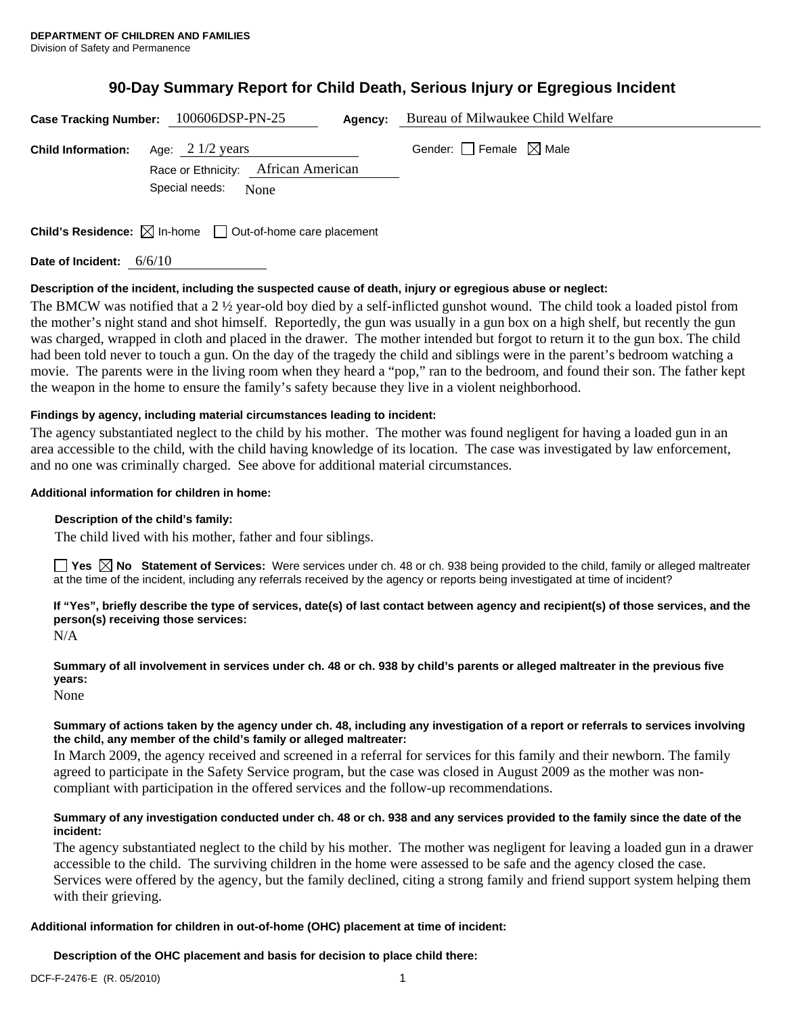# **90-Day Summary Report for Child Death, Serious Injury or Egregious Incident**

| Case Tracking Number: 100606DSP-PN-25 |                                                                                          | Agency: | Bureau of Milwaukee Child Welfare |
|---------------------------------------|------------------------------------------------------------------------------------------|---------|-----------------------------------|
| <b>Child Information:</b>             | Age: $2 \frac{1}{2}$ years<br>Race or Ethnicity: African American<br>Special needs: None |         | Gender: Female $\boxtimes$ Male   |
|                                       | <b>Child's Residence:</b> $\boxtimes$ In-home $\Box$ Out-of-home care placement          |         |                                   |

**Date of Incident:** 6/6/10

## **Description of the incident, including the suspected cause of death, injury or egregious abuse or neglect:**

The BMCW was notified that a 2 ½ year-old boy died by a self-inflicted gunshot wound. The child took a loaded pistol from the mother's night stand and shot himself. Reportedly, the gun was usually in a gun box on a high shelf, but recently the gun was charged, wrapped in cloth and placed in the drawer. The mother intended but forgot to return it to the gun box. The child had been told never to touch a gun. On the day of the tragedy the child and siblings were in the parent's bedroom watching a movie. The parents were in the living room when they heard a "pop," ran to the bedroom, and found their son. The father kept the weapon in the home to ensure the family's safety because they live in a violent neighborhood.

## **Findings by agency, including material circumstances leading to incident:**

The agency substantiated neglect to the child by his mother. The mother was found negligent for having a loaded gun in an area accessible to the child, with the child having knowledge of its location. The case was investigated by law enforcement, and no one was criminally charged. See above for additional material circumstances.

## **Additional information for children in home:**

## **Description of the child's family:**

The child lived with his mother, father and four siblings.

**Yes No Statement of Services:** Were services under ch. 48 or ch. 938 being provided to the child, family or alleged maltreater at the time of the incident, including any referrals received by the agency or reports being investigated at time of incident?

**If "Yes", briefly describe the type of services, date(s) of last contact between agency and recipient(s) of those services, and the person(s) receiving those services:**  N/A

**Summary of all involvement in services under ch. 48 or ch. 938 by child's parents or alleged maltreater in the previous five years:** 

None

### **Summary of actions taken by the agency under ch. 48, including any investigation of a report or referrals to services involving the child, any member of the child's family or alleged maltreater:**

In March 2009, the agency received and screened in a referral for services for this family and their newborn. The family agreed to participate in the Safety Service program, but the case was closed in August 2009 as the mother was noncompliant with participation in the offered services and the follow-up recommendations.

### **Summary of any investigation conducted under ch. 48 or ch. 938 and any services provided to the family since the date of the incident:**

The agency substantiated neglect to the child by his mother. The mother was negligent for leaving a loaded gun in a drawer accessible to the child. The surviving children in the home were assessed to be safe and the agency closed the case. Services were offered by the agency, but the family declined, citing a strong family and friend support system helping them with their grieving.

## **Additional information for children in out-of-home (OHC) placement at time of incident:**

**Description of the OHC placement and basis for decision to place child there:**